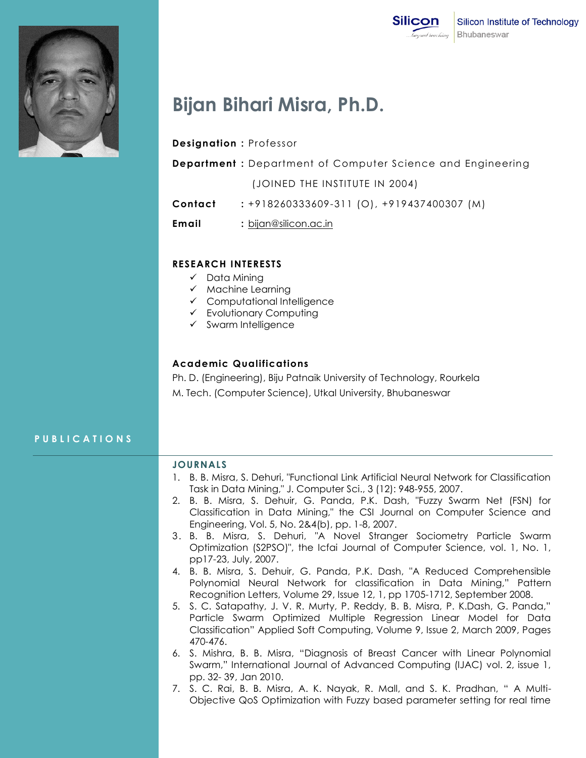



# **Bijan Bihari Misra, Ph.D.**

### **Designation :** Professor

**Department :** Department of Computer Science and Engineering

(JOINED THE INSTITUTE IN 2004)

**Contact :** +918260333609-311 (O), +919437400307 (M)

**Email :** [bijan@silicon.ac.in](mailto:bijan@silicon.ac.in)

#### **RESEARCH INTERESTS**

- $\checkmark$  Data Mining
- $\times$  Machine Learning
- Computational Intelligence
- Evolutionary Computing
- $\checkmark$  Swarm Intelligence

### **Academic Qualifications**

Ph. D. (Engineering), Biju Patnaik University of Technology, Rourkela

M. Tech. (Computer Science), Utkal University, Bhubaneswar

# **P U B L I C A T I O N S**

#### **JOURNALS**

- 1. B. B. Misra, S. Dehuri, "Functional Link Artificial Neural Network for Classification Task in Data Mining," J. Computer Sci., 3 (12): 948-955, 2007.
- 2. B. B. Misra, S. Dehuir, G. Panda, P.K. Dash, "Fuzzy Swarm Net (FSN) for Classification in Data Mining," the CSI Journal on Computer Science and Engineering, Vol. 5, No. 2&4(b), pp. 1-8, 2007.
- 3. B. B. Misra, S. Dehuri, "A Novel Stranger Sociometry Particle Swarm Optimization (S2PSO)", the Icfai Journal of Computer Science, vol. 1, No. 1, pp17-23, July, 2007.
- 4. B. B. Misra, S. Dehuir, G. Panda, P.K. Dash, "A Reduced Comprehensible Polynomial Neural Network for classification in Data Mining," Pattern Recognition Letters, Volume 29, Issue 12, 1, pp 1705-1712, September 2008.
- 5. S. C. Satapathy, J. V. R. Murty, P. Reddy, B. B. Misra, P. K.Dash, G. Panda," Particle Swarm Optimized Multiple Regression Linear Model for Data Classification" Applied Soft Computing, Volume 9, Issue 2, March 2009, Pages 470-476.
- 6. S. Mishra, B. B. Misra, "Diagnosis of Breast Cancer with Linear Polynomial Swarm," International Journal of Advanced Computing (IJAC) vol. 2, issue 1, pp. 32- 39, Jan 2010.
- 7. S. C. Rai, B. B. Misra, A. K. Nayak, R. Mall, and S. K. Pradhan, " A Multi-Objective QoS Optimization with Fuzzy based parameter setting for real time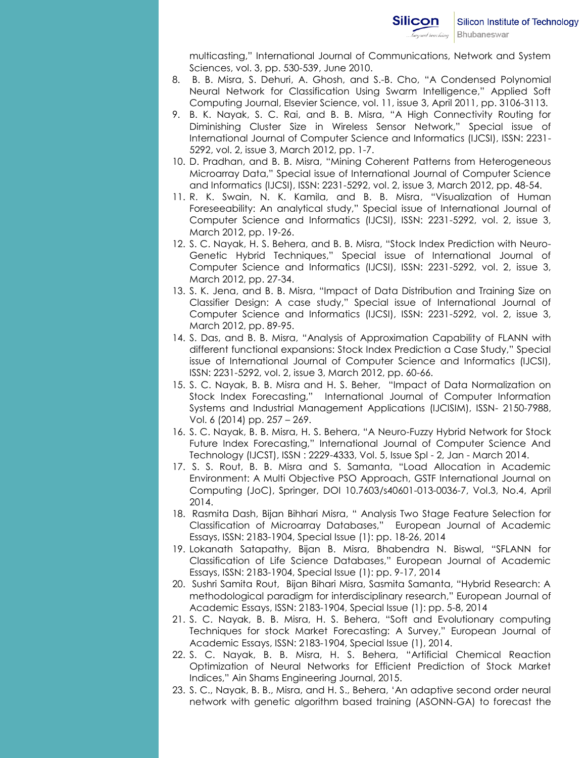multicasting," International Journal of Communications, Network and System Sciences, vol. 3, pp. 530-539, June 2010.

- 8. B. B. Misra, S. Dehuri, A. Ghosh, and S.-B. Cho, "A Condensed Polynomial Neural Network for Classification Using Swarm Intelligence," Applied Soft Computing Journal, Elsevier Science, vol. 11, issue 3, April 2011, pp. 3106-3113.
- 9. B. K. Nayak, S. C. Rai, and B. B. Misra, "A High Connectivity Routing for Diminishing Cluster Size in Wireless Sensor Network," Special issue of International Journal of Computer Science and Informatics (IJCSI), ISSN: 2231- 5292, vol. 2, issue 3, March 2012, pp. 1-7.
- 10. D. Pradhan, and B. B. Misra, "Mining Coherent Patterns from Heterogeneous Microarray Data," Special issue of International Journal of Computer Science and Informatics (IJCSI), ISSN: 2231-5292, vol. 2, issue 3, March 2012, pp. 48-54.
- 11. R. K. Swain, N. K. Kamila, and B. B. Misra, "Visualization of Human Foreseeability: An analytical study," Special issue of International Journal of Computer Science and Informatics (IJCSI), ISSN: 2231-5292, vol. 2, issue 3, March 2012, pp. 19-26.
- 12. S. C. Nayak, H. S. Behera, and B. B. Misra, "Stock Index Prediction with Neuro-Genetic Hybrid Techniques," Special issue of International Journal of Computer Science and Informatics (IJCSI), ISSN: 2231-5292, vol. 2, issue 3, March 2012, pp. 27-34.
- 13. S. K. Jena, and B. B. Misra, "Impact of Data Distribution and Training Size on Classifier Design: A case study," Special issue of International Journal of Computer Science and Informatics (IJCSI), ISSN: 2231-5292, vol. 2, issue 3, March 2012, pp. 89-95.
- 14. S. Das, and B. B. Misra, "Analysis of Approximation Capability of FLANN with different functional expansions: Stock Index Prediction a Case Study," Special issue of International Journal of Computer Science and Informatics (IJCSI), ISSN: 2231-5292, vol. 2, issue 3, March 2012, pp. 60-66.
- 15. S. C. Nayak, B. B. Misra and H. S. Beher, "Impact of Data Normalization on Stock Index Forecasting," International Journal of Computer Information Systems and Industrial Management Applications (IJCISIM), ISSN- 2150-7988, Vol. 6 (2014) pp. 257 – 269.
- 16. S. C. Nayak, B. B. Misra, H. S. Behera, "A Neuro-Fuzzy Hybrid Network for Stock Future Index Forecasting," International Journal of Computer Science And Technology (IJCST), ISSN : 2229-4333, Vol. 5, Issue Spl - 2, Jan - March 2014.
- 17. S. S. Rout, B. B. Misra and S. Samanta, "Load Allocation in Academic Environment: A Multi Objective PSO Approach, GSTF International Journal on Computing (JoC), Springer, DOI 10.7603/s40601-013-0036-7, Vol.3, No.4, April 2014.
- 18. Rasmita Dash, Bijan Bihhari Misra, " Analysis Two Stage Feature Selection for Classification of Microarray Databases," European Journal of Academic Essays, ISSN: 2183-1904, Special Issue (1): pp. 18-26, 2014
- 19. Lokanath Satapathy, Bijan B. Misra, Bhabendra N. Biswal, "SFLANN for Classification of Life Science Databases," European Journal of Academic Essays, ISSN: 2183-1904, Special Issue (1): pp. 9-17, 2014
- 20. Sushri Samita Rout, Bijan Bihari Misra, Sasmita Samanta, "Hybrid Research: A methodological paradigm for interdisciplinary research," European Journal of Academic Essays, ISSN: 2183-1904, Special Issue (1): pp. 5-8, 2014
- 21. S. C. Nayak, B. B. Misra, H. S. Behera, "Soft and Evolutionary computing Techniques for stock Market Forecasting: A Survey," European Journal of Academic Essays, ISSN: 2183-1904, Special Issue (1), 2014.
- 22. S. C. Nayak, B. B. Misra, H. S. Behera, "Artificial Chemical Reaction Optimization of Neural Networks for Efficient Prediction of Stock Market Indices," Ain Shams Engineering Journal, 2015.
- 23. S. C., Nayak, B. B., Misra, and H. S., Behera, "An adaptive second order neural network with genetic algorithm based training (ASONN-GA) to forecast the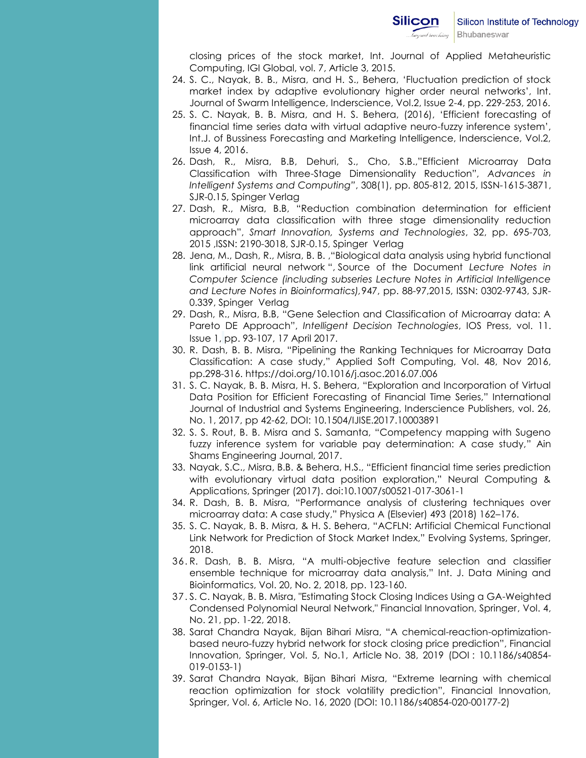

closing prices of the stock market, Int. Journal of Applied Metaheuristic Computing, IGI Global, vol. 7, Article 3, 2015.

- 24. S. C., Nayak, B. B., Misra, and H. S., Behera, "Fluctuation prediction of stock market index by adaptive evolutionary higher order neural networks", Int. Journal of Swarm Intelligence, Inderscience, Vol.2, Issue 2-4, pp. 229-253, 2016.
- 25. S. C. Nayak, B. B. Misra, and H. S. Behera, (2016), "Efficient forecasting of financial time series data with virtual adaptive neuro-fuzzy inference system", Int.J. of Bussiness Forecasting and Marketing Intelligence, Inderscience, Vol.2, Issue 4, 2016.
- 26. Dash, R., Misra, B.B, Dehuri, S., Cho, S.B.,"Efficient Microarray Data Classification with Three-Stage Dimensionality Reduction", *Advances in Intelligent Systems and Computing"*, 308(1), pp. 805-812, 2015, ISSN-1615-3871, SJR-0.15, Spinger Verlag
- 27. Dash, R., Misra, B.B, "Reduction combination determination for efficient microarray data classification with three stage dimensionality reduction approach", *Smart Innovation, Systems and Technologies*, 32, pp. 695-703, 2015 ,ISSN: 2190-3018, SJR-0.15, Spinger Verlag
- 28. Jena, M., Dash, R., Misra, B. B. ,"Biological data analysis using hybrid functional link artificial neural network ", Source of the Document *Lecture Notes in Computer Science (including subseries Lecture Notes in Artificial Intelligence and Lecture Notes in Bioinformatics),*947, pp. 88-97,2015, ISSN: 0302-9743, SJR-0.339, Spinger Verlag
- 29. Dash, R., Misra, B.B, "Gene Selection and Classification of Microarray data: A Pareto DE Approach", *Intelligent Decision Technologies*, IOS Press, vol. 11. Issue 1, pp. 93-107, 17 April 2017.
- 30. R. Dash, B. B. Misra, "[Pipelining the Ranking Techniques for Microarray Data](http://www.sciencedirect.com/science/article/pii/S1568494616303313)  [Classification: A case study](http://www.sciencedirect.com/science/article/pii/S1568494616303313)," Applied Soft Computing, Vol. 48, Nov 2016, pp.298-316.<https://doi.org/10.1016/j.asoc.2016.07.006>
- 31. S. C. Nayak, B. B. Misra, H. S. Behera, "Exploration and Incorporation of Virtual Data Position for Efficient Forecasting of Financial Time Series," International Journal of Industrial and Systems Engineering, Inderscience Publishers, vol. 26, No. 1, 2017, pp 42-62, DOI[: 10.1504/IJISE.2017.10003891](http://dx.doi.org/10.1504/IJISE.2017.10003891)
- 32. S. S. Rout, B. B. Misra and S. Samanta, "Competency mapping with Sugeno fuzzy inference system for variable pay determination: A case study," Ain Shams Engineering Journal, 2017.
- 33. Nayak, S.C., Misra, B.B. & Behera, H.S., "Efficient financial time series prediction with evolutionary virtual data position exploration," Neural Computing & Applications, Springer (2017). doi:10.1007/s00521-017-3061-1
- 34. R. Dash, B. B. Misra, "Performance analysis of clustering techniques over microarray data: A case study," Physica A (Elsevier) 493 (2018) 162–176.
- 35. S. C. Nayak, B. B. Misra, & H. S. Behera, "ACFLN: Artificial Chemical Functional Link Network for Prediction of Stock Market Index," Evolving Systems, Springer, 2018.
- 36. R. Dash, B. B. Misra, "A multi-objective feature selection and classifier ensemble technique for microarray data analysis," Int. J. Data Mining and Bioinformatics, Vol. 20, No. 2, 2018, pp. 123-160.
- 37. S. C. Nayak, B. B. Misra, "Estimating Stock Closing Indices Using a GA-Weighted Condensed Polynomial Neural Network," Financial Innovation, Springer, Vol. 4, No. 21, pp. 1-22, 2018.
- 38. Sarat Chandra Nayak, Bijan Bihari Misra, "A chemical-reaction-optimizationbased neuro-fuzzy hybrid network for stock closing price prediction", Financial Innovation, Springer, Vol. 5, No.1, Article No. 38, 2019 (DOI : 10.1186/s40854- 019-0153-1)
- 39. Sarat Chandra Nayak, Bijan Bihari Misra, "Extreme learning with chemical reaction optimization for stock volatility prediction", Financial Innovation, Springer, Vol. 6, Article No. 16, 2020 (DOI: 10.1186/s40854-020-00177-2)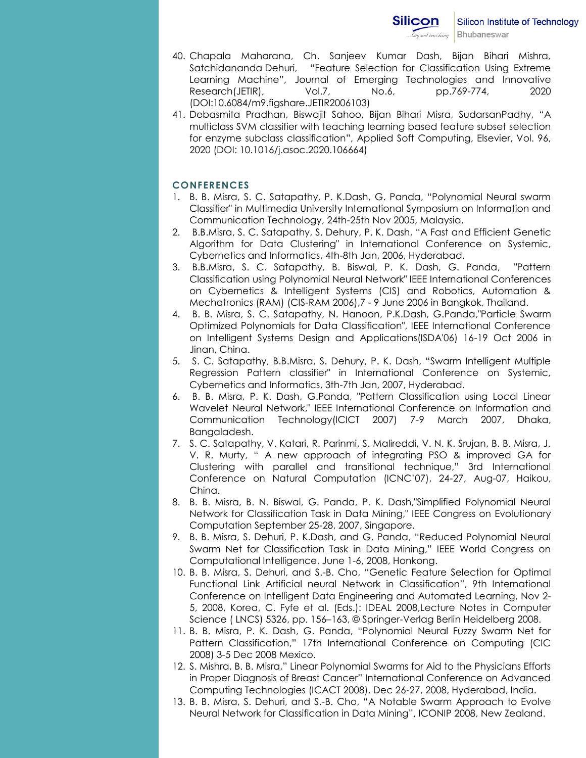- 40. Chapala Maharana, Ch. Sanjeev Kumar Dash, Bijan Bihari Mishra, Satchidananda Dehuri, "Feature Selection for Classification Using Extreme Learning Machine", Journal of Emerging Technologies and Innovative Research(JETIR), Vol.7, No.6, pp.769-774, 2020 (DOI:10.6084/m9.figshare.JETIR2006103)
- 41. Debasmita Pradhan, Biswajit Sahoo, Bijan Bihari Misra, SudarsanPadhy, "A multiclass SVM classifier with teaching learning based feature subset selection for enzyme subclass classification", Applied Soft Computing, Elsevier, Vol. 96, 2020 (DOI: 10.1016/j.asoc.2020.106664)

# **CONFERENCES**

- 1. B. B. Misra, S. C. Satapathy, P. K.Dash, G. Panda, "Polynomial Neural swarm Classifier" in Multimedia University International Symposium on Information and Communication Technology, 24th-25th Nov 2005, Malaysia.
- 2. B.B.Misra, S. C. Satapathy, S. Dehury, P. K. Dash, "A Fast and Efficient Genetic Algorithm for Data Clustering" in International Conference on Systemic, Cybernetics and Informatics, 4th-8th Jan, 2006, Hyderabad.
- 3. B.B.Misra, S. C. Satapathy, B. Biswal, P. K. Dash, G. Panda, "Pattern Classification using Polynomial Neural Network" IEEE International Conferences on Cybernetics & Intelligent Systems (CIS) and Robotics, Automation & Mechatronics (RAM) (CIS-RAM 2006),7 - 9 June 2006 in Bangkok, Thailand.
- 4. B. B. Misra, S. C. Satapathy, N. Hanoon, P.K.Dash, G.Panda,"Particle Swarm Optimized Polynomials for Data Classification", IEEE International Conference on Intelligent Systems Design and Applications(ISDA'06) 16-19 Oct 2006 in Jinan, China.
- 5. S. C. Satapathy, B.B.Misra, S. Dehury, P. K. Dash, "Swarm Intelligent Multiple Regression Pattern classifier" in International Conference on Systemic, Cybernetics and Informatics, 3th-7th Jan, 2007, Hyderabad.
- 6. B. B. Misra, P. K. Dash, G.Panda, "Pattern Classification using Local Linear Wavelet Neural Network," IEEE International Conference on Information and Communication Technology(ICICT 2007) 7-9 March 2007, Dhaka, Bangaladesh.
- 7. S. C. Satapathy, V. Katari, R. Parinmi, S. Malireddi, V. N. K. Srujan, B. B. Misra, J. V. R. Murty, " A new approach of integrating PSO & improved GA for Clustering with parallel and transitional technique," 3rd International Conference on Natural Computation (ICNC"07), 24-27, Aug-07, Haikou, China.
- 8. B. B. Misra, B. N. Biswal, G. Panda, P. K. Dash,"Simplified Polynomial Neural Network for Classification Task in Data Mining," IEEE Congress on Evolutionary Computation September 25-28, 2007, Singapore.
- 9. B. B. Misra, S. Dehuri, P. K.Dash, and G. Panda, "Reduced Polynomial Neural Swarm Net for Classification Task in Data Mining," IEEE World Congress on Computational Intelligence, June 1-6, 2008, Honkong.
- 10. B. B. Misra, S. Dehuri, and S.-B. Cho, "Genetic Feature Selection for Optimal Functional Link Artificial neural Network in Classification", 9th International Conference on Intelligent Data Engineering and Automated Learning, Nov 2- 5, 2008, Korea, C. Fyfe et al. (Eds.): IDEAL 2008,Lecture Notes in Computer Science ( LNCS) 5326, pp. 156–163, © Springer-Verlag Berlin Heidelberg 2008.
- 11. B. B. Misra, P. K. Dash, G. Panda, "Polynomial Neural Fuzzy Swarm Net for Pattern Classification," 17th International Conference on Computing (CIC 2008) 3-5 Dec 2008 Mexico.
- 12. S. Mishra, B. B. Misra," Linear Polynomial Swarms for Aid to the Physicians Efforts in Proper Diagnosis of Breast Cancer" International Conference on Advanced Computing Technologies (ICACT 2008), Dec 26-27, 2008, Hyderabad, India.
- 13. B. B. Misra, S. Dehuri, and S.-B. Cho, "A Notable Swarm Approach to Evolve Neural Network for Classification in Data Mining", ICONIP 2008, New Zealand.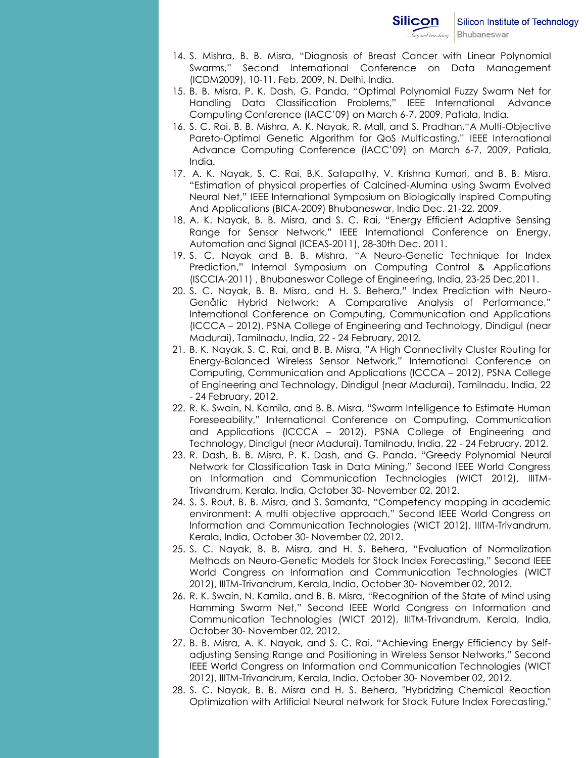- 14. S. Mishra, B. B. Misra, "Diagnosis of Breast Cancer with Linear Polynomial Swarms," Second International Conference on Data Management (ICDM2009), 10-11, Feb, 2009, N. Delhi, India.
- 15. B. B. Misra, P. K. Dash, G. Panda, "Optimal Polynomial Fuzzy Swarm Net for Handling Data Classification Problems," IEEE International Advance Computing Conference (IACC"09) on March 6-7, 2009, Patiala, India.
- 16. S. C. Rai, B. B. Mishra, A. K. Nayak, R. Mall, and S. Pradhan,"A Multi-Objective Pareto-Optimal Genetic Algorithm for QoS Multicasting," IEEE International Advance Computing Conference (IACC"09) on March 6-7, 2009, Patiala, India.
- 17. A. K. Nayak, S. C. Rai, B.K. Satapathy, V. Krishna Kumari, and B. B. Misra, "Estimation of physical properties of Calcined-Alumina using Swarm Evolved Neural Net," IEEE International Symposium on Biologically Inspired Computing And Applications (BICA-2009) Bhubaneswar, India Dec. 21-22, 2009.
- 18. A. K. Nayak, B. B. Misra, and S. C. Rai, "Energy Efficient Adaptive Sensing Range for Sensor Network," IEEE International Conference on Energy, Automation and Signal (ICEAS-2011), 28-30th Dec. 2011.
- 19. S. C. Nayak and B. B. Mishra, "A Neuro-Genetic Technique for Index Prediction," Internal Symposium on Computing Control & Applications (ISCCIA-2011) , Bhubaneswar College of Engineering, India, 23-25 Dec,2011.
- 20. S. C. Nayak, B. B. Misra, and H. S. Behera," Index Prediction with Neuro-Genåtic Hybrid Network: A Comparative Analysis of Performance," International Conference on Computing, Communication and Applications (ICCCA – 2012), PSNA College of Engineering and Technology, Dindigul (near Madurai), Tamilnadu, India, 22 - 24 February, 2012.
- 21. B. K. Nayak, S. C. Rai, and B. B. Misra, "A High Connectivity Cluster Routing for Energy-Balanced Wireless Sensor Network," International Conference on Computing, Communication and Applications (ICCCA – 2012), PSNA College of Engineering and Technology, Dindigul (near Madurai), Tamilnadu, India, 22 - 24 February, 2012.
- 22. R. K. Swain, N. Kamila, and B. B. Misra, "Swarm Intelligence to Estimate Human Foreseeability," International Conference on Computing, Communication and Applications (ICCCA – 2012), PSNA College of Engineering and Technology, Dindigul (near Madurai), Tamilnadu, India, 22 - 24 February, 2012.
- 23. R. Dash, B. B. Misra, P. K. Dash, and G. Panda, "Greedy Polynomial Neural Network for Classification Task in Data Mining," Second IEEE World Congress on Information and Communication Technologies (WICT 2012), IIITM-Trivandrum, Kerala, India, October 30- November 02, 2012.
- 24. S. S. Rout, B. B. Misra, and S. Samanta, "Competency mapping in academic environment: A multi objective approach," Second IEEE World Congress on Information and Communication Technologies (WICT 2012), IIITM-Trivandrum, Kerala, India, October 30- November 02, 2012.
- 25. S. C. Nayak, B. B. Misra, and H. S. Behera, "Evaluation of Normalization Methods on Neuro-Genetic Models for Stock Index Forecasting," Second IEEE World Congress on Information and Communication Technologies (WICT 2012), IIITM-Trivandrum, Kerala, India, October 30- November 02, 2012.
- 26. R. K. Swain, N. Kamila, and B. B. Misra, "Recognition of the State of Mind using Hamming Swarm Net," Second IEEE World Congress on Information and Communication Technologies (WICT 2012), IIITM-Trivandrum, Kerala, India, October 30- November 02, 2012.
- 27. B. B. Misra, A. K. Nayak, and S. C. Rai, "Achieving Energy Efficiency by Selfadjusting Sensing Range and Positioning in Wireless Sensor Networks," Second IEEE World Congress on Information and Communication Technologies (WICT 2012), IIITM-Trivandrum, Kerala, India, October 30- November 02, 2012.
- 28. S. C. Nayak, B. B. Misra and H. S. Behera, "Hybridzing Chemical Reaction Optimization with Artificial Neural network for Stock Future Index Forecasting,"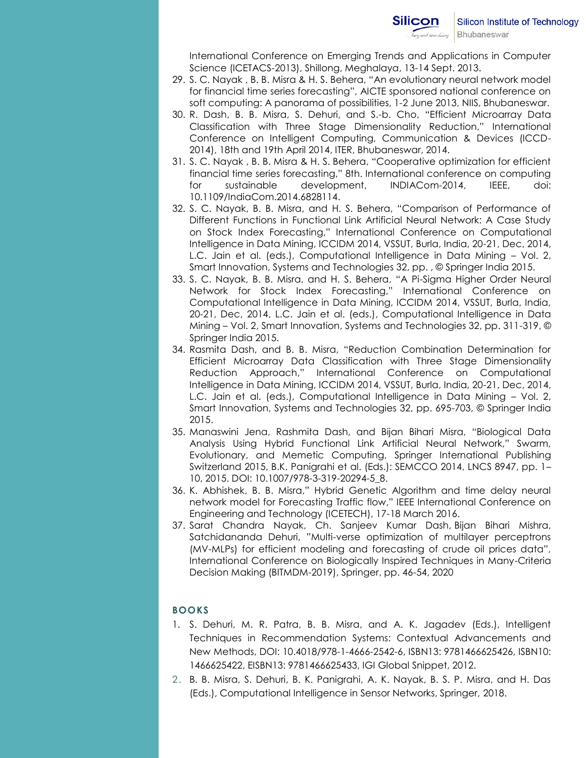International Conference on Emerging Trends and Applications in Computer Science (ICETACS-2013), Shillong, Meghalaya, 13-14 Sept. 2013.

- 29. S. C. Nayak , B. B. Misra & H. S. Behera, "An evolutionary neural network model for financial time series forecasting", AICTE sponsored national conference on soft computing: A panorama of possibilities, 1-2 June 2013, NIIS, Bhubaneswar.
- 30. R. Dash, B. B. Misra, S. Dehuri, and S.-b. Cho, "Efficient Microarray Data Classification with Three Stage Dimensionality Reduction," International Conference on Intelligent Computing, Communication & Devices (ICCD-2014), 18th and 19th April 2014, ITER, Bhubaneswar, 2014.
- 31. S. C. Nayak , B. B. Misra & H. S. Behera, "Cooperative optimization for efficient financial time series forecasting," 8th. International conference on computing for sustainable development, INDIACom-2014, IEEE, doi: 10.1109/IndiaCom.2014.6828114.
- 32. S. C. Nayak, B. B. Misra, and H. S. Behera, "Comparison of Performance of Different Functions in Functional Link Artificial Neural Network: A Case Study on Stock Index Forecasting," International Conference on Computational Intelligence in Data Mining, ICCIDM 2014, VSSUT, Burla, India, 20-21, Dec, 2014, L.C. Jain et al. (eds.), Computational Intelligence in Data Mining – Vol. 2, Smart Innovation, Systems and Technologies 32, pp. , © Springer India 2015.
- 33. S. C. Nayak, B. B. Misra, and H. S. Behera, "A Pi-Sigma Higher Order Neural Network for Stock Index Forecasting," International Conference on Computational Intelligence in Data Mining, ICCIDM 2014, VSSUT, Burla, India, 20-21, Dec, 2014, L.C. Jain et al. (eds.), Computational Intelligence in Data Mining – Vol. 2, Smart Innovation, Systems and Technologies 32, pp. 311-319, © Springer India 2015.
- 34. Rasmita Dash, and B. B. Misra, "Reduction Combination Determination for Efficient Microarray Data Classification with Three Stage Dimensionality Reduction Approach," International Conference on Computational Intelligence in Data Mining, ICCIDM 2014, VSSUT, Burla, India, 20-21, Dec, 2014, L.C. Jain et al. (eds.), Computational Intelligence in Data Mining – Vol. 2, Smart Innovation, Systems and Technologies 32, pp. 695-703, © Springer India 2015.
- 35. Manaswini Jena, Rashmita Dash, and Bijan Bihari Misra, "Biological Data Analysis Using Hybrid Functional Link Artificial Neural Network," Swarm, Evolutionary, and Memetic Computing, Springer International Publishing Switzerland 2015, B.K. Panigrahi et al. (Eds.): SEMCCO 2014, LNCS 8947, pp. 1– 10, 2015. DOI: 10.1007/978-3-319-20294-5\_8.
- 36. K. Abhishek, B. B. Misra," Hybrid Genetic Algorithm and time delay neural network model for Forecasting Traffic flow," IEEE International Conference on Engineering and Technology (ICETECH), 17-18 March 2016.
- 37. Sarat Chandra Nayak, Ch. Sanjeev Kumar Dash, Bijan Bihari Mishra, Satchidananda Dehuri, "Multi-verse optimization of multilayer perceptrons (MV-MLPs) for efficient modeling and forecasting of crude oil prices data", International Conference on Biologically Inspired Techniques in Many-Criteria Decision Making (BITMDM-2019), Springer, pp. 46-54, 2020

# **BOOKS**

- 1. S. Dehuri, M. R. Patra, B. B. Misra, and A. K. Jagadev (Eds.), Intelligent Techniques in Recommendation Systems: Contextual Advancements and New Methods, DOI: 10.4018/978-1-4666-2542-6, ISBN13: 9781466625426, ISBN10: 1466625422, EISBN13: 9781466625433, IGI Global Snippet, 2012.
- 2. B. B. Misra, S. Dehuri, B. K. Panigrahi, A. K. Nayak, B. S. P. Misra, and H. Das (Eds.), Computational Intelligence in Sensor Networks, Springer, 2018.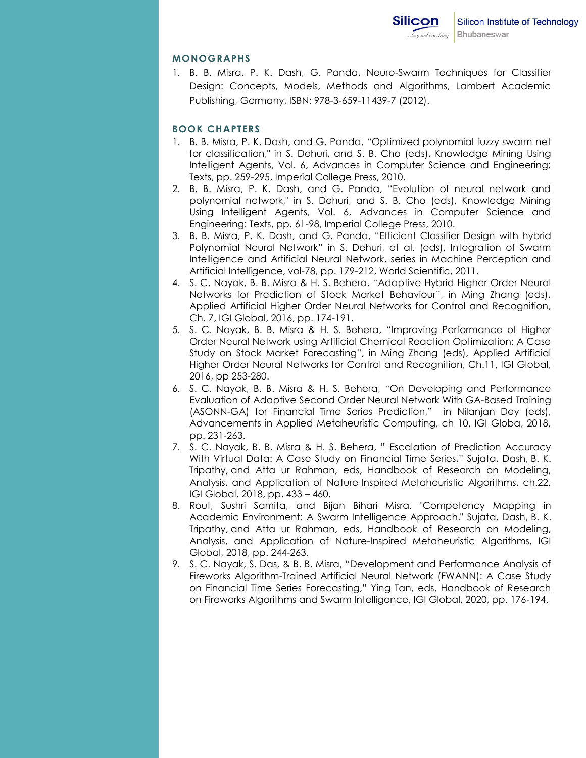# **MONOGRAPHS**

1. B. B. Misra, P. K. Dash, G. Panda, Neuro-Swarm Techniques for Classifier Design: Concepts, Models, Methods and Algorithms, Lambert Academic Publishing, Germany, ISBN: 978-3-659-11439-7 (2012).

# **BOOK CHAPTERS**

- 1. B. B. Misra, P. K. Dash, and G. Panda, "Optimized polynomial fuzzy swarm net for classification," in S. Dehuri, and S. B. Cho (eds), Knowledge Mining Using Intelligent Agents, Vol. 6, Advances in Computer Science and Engineering: Texts, pp. 259-295, Imperial College Press, 2010.
- 2. B. B. Misra, P. K. Dash, and G. Panda, "Evolution of neural network and polynomial network," in S. Dehuri, and S. B. Cho (eds), Knowledge Mining Using Intelligent Agents, Vol. 6, Advances in Computer Science and Engineering: Texts, pp. 61-98, Imperial College Press, 2010.
- 3. B. B. Misra, P. K. Dash, and G. Panda, "Efficient Classifier Design with hybrid Polynomial Neural Network" in S. Dehuri, et al. (eds), Integration of Swarm Intelligence and Artificial Neural Network, series in Machine Perception and Artificial Intelligence, vol-78, pp. 179-212, World Scientific, 2011.
- 4. S. C. Nayak, B. B. Misra & H. S. Behera, "Adaptive Hybrid Higher Order Neural Networks for Prediction of Stock Market Behaviour", in Ming Zhang (eds), Applied Artificial Higher Order Neural Networks for Control and Recognition, Ch. 7, IGI Global, 2016, pp. 174-191.
- 5. S. C. Nayak, B. B. Misra & H. S. Behera, "Improving Performance of Higher Order Neural Network using Artificial Chemical Reaction Optimization: A Case Study on Stock Market Forecasting", in Ming Zhang (eds), Applied Artificial Higher Order Neural Networks for Control and Recognition, Ch.11, IGI Global, 2016, pp 253-280.
- 6. S. C. Nayak, B. B. Misra & H. S. Behera, "On Developing and Performance Evaluation of Adaptive Second Order Neural Network With GA-Based Training (ASONN-GA) for Financial Time Series Prediction," in Nilanjan Dey (eds), Advancements in Applied Metaheuristic Computing, ch 10, IGI Globa, 2018, pp. 231-263.
- 7. S. C. Nayak, B. B. Misra & H. S. Behera, " [Escalation of Prediction Accuracy](javascript:void(0))  [With Virtual Data: A Case Study on Financial Time Series](javascript:void(0))," Sujata, Dash, B. K. Tripathy, and Atta ur Rahman, eds, Handbook of Research on Modeling, Analysis, and Application of Nature Inspired Metaheuristic Algorithms, ch.22, IGI Global, 2018, pp. 433 – 460.
- 8. Rout, Sushri Samita, and Bijan Bihari Misra. "Competency Mapping in Academic Environment: A Swarm Intelligence Approach." Sujata, Dash, B. K. Tripathy, and Atta ur Rahman, eds, Handbook of Research on Modeling, Analysis, and Application of Nature-Inspired Metaheuristic Algorithms, IGI Global, 2018, pp. 244-263.
- 9. S. C. Nayak, S. Das, & B. B. Misra, "Development and Performance Analysis of Fireworks Algorithm-Trained Artificial Neural Network (FWANN): A Case Study on Financial Time Series Forecasting," Ying Tan, eds, Handbook of Research on Fireworks Algorithms and Swarm Intelligence, IGI Global, 2020, pp. 176-194.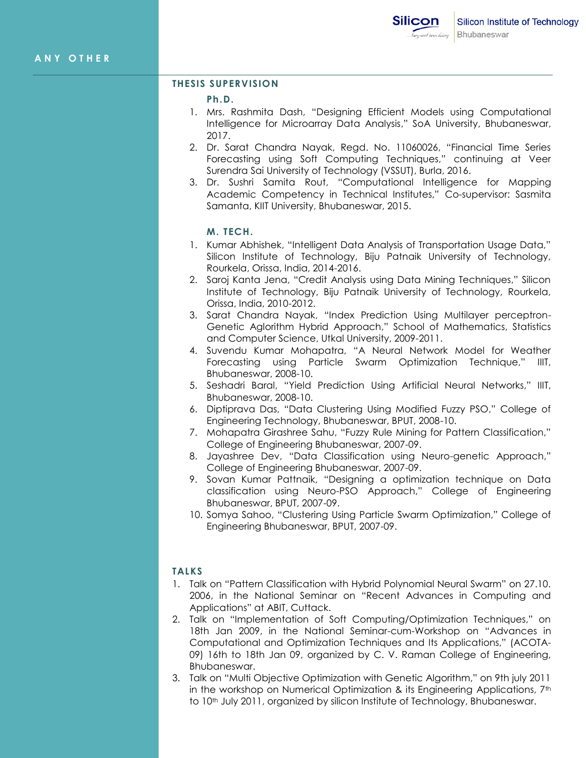# **THESIS SUPERVISION**

**Ph.D.**

- 1. Mrs. Rashmita Dash, "Designing Efficient Models using Computational Intelligence for Microarray Data Analysis," SoA University, Bhubaneswar, 2017.
- 2. Dr. Sarat Chandra Nayak, Regd. No. 11060026, "Financial Time Series Forecasting using Soft Computing Techniques," continuing at Veer Surendra Sai University of Technology (VSSUT), Burla, 2016.
- 3. Dr. Sushri Samita Rout, "Computational Intelligence for Mapping Academic Competency in Technical Institutes," Co-supervisor: Sasmita Samanta, KIIT University, Bhubaneswar, 2015.

## **M. TECH.**

- 1. Kumar Abhishek, "Intelligent Data Analysis of Transportation Usage Data," Silicon Institute of Technology, Biju Patnaik University of Technology, Rourkela, Orissa, India, 2014-2016.
- 2. Saroj Kanta Jena, "Credit Analysis using Data Mining Techniques," Silicon Institute of Technology, Biju Patnaik University of Technology, Rourkela, Orissa, India, 2010-2012.
- 3. Sarat Chandra Nayak, "Index Prediction Using Multilayer perceptron-Genetic Aglorithm Hybrid Approach," School of Mathematics, Statistics and Computer Science, Utkal University, 2009-2011.
- 4. Suvendu Kumar Mohapatra, "A Neural Network Model for Weather Forecasting using Particle Swarm Optimization Technique," IIIT, Bhubaneswar, 2008-10.
- 5. Seshadri Baral, "Yield Prediction Using Artificial Neural Networks," IIIT, Bhubaneswar, 2008-10.
- 6. Diptiprava Das, "Data Clustering Using Modified Fuzzy PSO," College of Engineering Technology, Bhubaneswar, BPUT, 2008-10.
- 7. Mohapatra Girashree Sahu, "Fuzzy Rule Mining for Pattern Classification," College of Engineering Bhubaneswar, 2007-09.
- 8. Jayashree Dev, "Data Classification using Neuro-genetic Approach," College of Engineering Bhubaneswar, 2007-09.
- 9. Sovan Kumar Pattnaik, "Designing a optimization technique on Data classification using Neuro-PSO Approach," College of Engineering Bhubaneswar, BPUT, 2007-09.
- 10. Somya Sahoo, "Clustering Using Particle Swarm Optimization," College of Engineering Bhubaneswar, BPUT, 2007-09.

# **TALKS**

- 1. Talk on "Pattern Classification with Hybrid Polynomial Neural Swarm" on 27.10. 2006, in the National Seminar on "Recent Advances in Computing and Applications" at ABIT, Cuttack.
- 2. Talk on "Implementation of Soft Computing/Optimization Techniques," on 18th Jan 2009, in the National Seminar-cum-Workshop on "Advances in Computational and Optimization Techniques and Its Applications," (ACOTA-09) 16th to 18th Jan 09, organized by C. V. Raman College of Engineering, Bhubaneswar.
- 3. Talk on "Multi Objective Optimization with Genetic Algorithm," on 9th july 2011 in the workshop on Numerical Optimization & its Engineering Applications, 7<sup>th</sup> to 10<sup>th</sup> July 2011, organized by silicon Institute of Technology, Bhubaneswar.